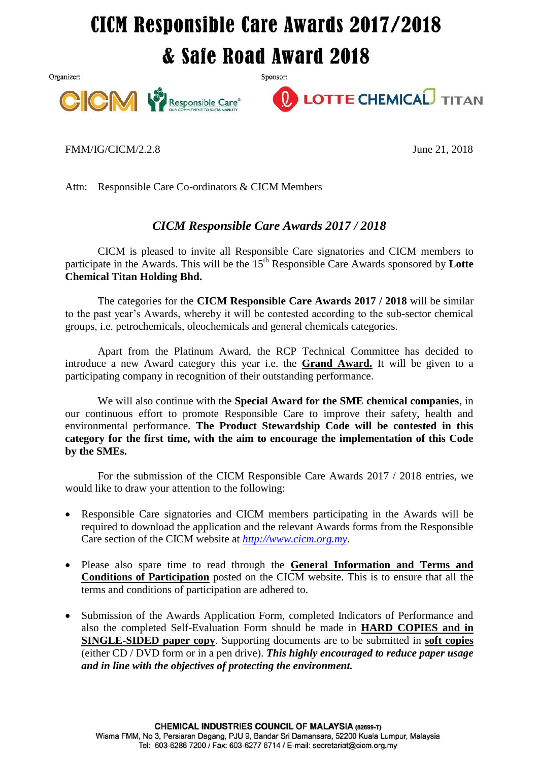## **CICM Responsible Care Awards 2017/2018** & Safe Road Award 2018

Sponsor:

Organizer:





FMM/IG/CICM/2.2.8 June 21, 2018

Attn: Responsible Care Co-ordinators & CICM Members

## *CICM Responsible Care Awards 2017 / 2018*

CICM is pleased to invite all Responsible Care signatories and CICM members to participate in the Awards. This will be the 15<sup>th</sup> Responsible Care Awards sponsored by Lotte **Chemical Titan Holding Bhd.**

The categories for the **CICM Responsible Care Awards 2017 / 2018** will be similar to the past year's Awards, whereby it will be contested according to the sub-sector chemical groups, i.e. petrochemicals, oleochemicals and general chemicals categories.

Apart from the Platinum Award, the RCP Technical Committee has decided to introduce a new Award category this year i.e. the **Grand Award.** It will be given to a participating company in recognition of their outstanding performance.

We will also continue with the **Special Award for the SME chemical companies**, in our continuous effort to promote Responsible Care to improve their safety, health and environmental performance. **The Product Stewardship Code will be contested in this category for the first time, with the aim to encourage the implementation of this Code by the SMEs.**

For the submission of the CICM Responsible Care Awards 2017 / 2018 entries, we would like to draw your attention to the following:

- Responsible Care signatories and CICM members participating in the Awards will be required to download the application and the relevant Awards forms from the Responsible Care section of the CICM website at *[http://www.cicm.org.my.](http://www.cicm.org.my/)*
- Please also spare time to read through the **General Information and Terms and Conditions of Participation** posted on the CICM website. This is to ensure that all the terms and conditions of participation are adhered to.
- Submission of the Awards Application Form, completed Indicators of Performance and also the completed Self-Evaluation Form should be made in **HARD COPIES and in SINGLE-SIDED paper copy**. Supporting documents are to be submitted in **soft copies** (either CD / DVD form or in a pen drive). *This highly encouraged to reduce paper usage and in line with the objectives of protecting the environment.*